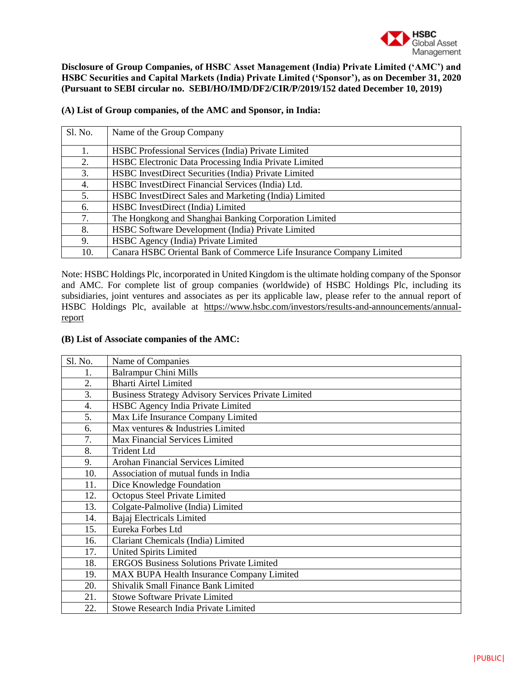

**Disclosure of Group Companies, of HSBC Asset Management (India) Private Limited ('AMC') and HSBC Securities and Capital Markets (India) Private Limited ('Sponsor'), as on December 31, 2020 (Pursuant to SEBI circular no. SEBI/HO/IMD/DF2/CIR/P/2019/152 dated December 10, 2019)**

| Sl. No. | Name of the Group Company                                            |
|---------|----------------------------------------------------------------------|
| 1.      | HSBC Professional Services (India) Private Limited                   |
| 2.      | HSBC Electronic Data Processing India Private Limited                |
| 3.      | HSBC InvestDirect Securities (India) Private Limited                 |
| 4.      | HSBC InvestDirect Financial Services (India) Ltd.                    |
| 5.      | HSBC InvestDirect Sales and Marketing (India) Limited                |
| 6.      | HSBC InvestDirect (India) Limited                                    |
| 7.      | The Hongkong and Shanghai Banking Corporation Limited                |
| 8.      | HSBC Software Development (India) Private Limited                    |
| 9.      | HSBC Agency (India) Private Limited                                  |
| 10.     | Canara HSBC Oriental Bank of Commerce Life Insurance Company Limited |

## **(A) List of Group companies, of the AMC and Sponsor, in India:**

Note: HSBC Holdings Plc, incorporated in United Kingdom is the ultimate holding company of the Sponsor and AMC. For complete list of group companies (worldwide) of HSBC Holdings Plc, including its subsidiaries, joint ventures and associates as per its applicable law, please refer to the annual report of HSBC Holdings Plc, available at [https://www.hsbc.com/investors/results-and-announcements/annual](https://www.hsbc.com/investors/results-and-announcements/annual-report)[report](https://www.hsbc.com/investors/results-and-announcements/annual-report)

## **(B) List of Associate companies of the AMC:**

| Sl. No.          | Name of Companies                                          |
|------------------|------------------------------------------------------------|
| 1.               | <b>Balrampur Chini Mills</b>                               |
| 2.               | <b>Bharti Airtel Limited</b>                               |
| 3.               | <b>Business Strategy Advisory Services Private Limited</b> |
| $\overline{4}$ . | HSBC Agency India Private Limited                          |
| 5.               | Max Life Insurance Company Limited                         |
| 6.               | Max ventures & Industries Limited                          |
| 7.               | Max Financial Services Limited                             |
| 8.               | <b>Trident Ltd</b>                                         |
| 9.               | Arohan Financial Services Limited                          |
| 10.              | Association of mutual funds in India                       |
| 11.              | Dice Knowledge Foundation                                  |
| 12.              | Octopus Steel Private Limited                              |
| 13.              | Colgate-Palmolive (India) Limited                          |
| 14.              | Bajaj Electricals Limited                                  |
| 15.              | Eureka Forbes Ltd                                          |
| 16.              | Clariant Chemicals (India) Limited                         |
| 17.              | <b>United Spirits Limited</b>                              |
| 18.              | <b>ERGOS Business Solutions Private Limited</b>            |
| 19.              | MAX BUPA Health Insurance Company Limited                  |
| 20.              | Shivalik Small Finance Bank Limited                        |
| 21.              | <b>Stowe Software Private Limited</b>                      |
| 22.              | Stowe Research India Private Limited                       |